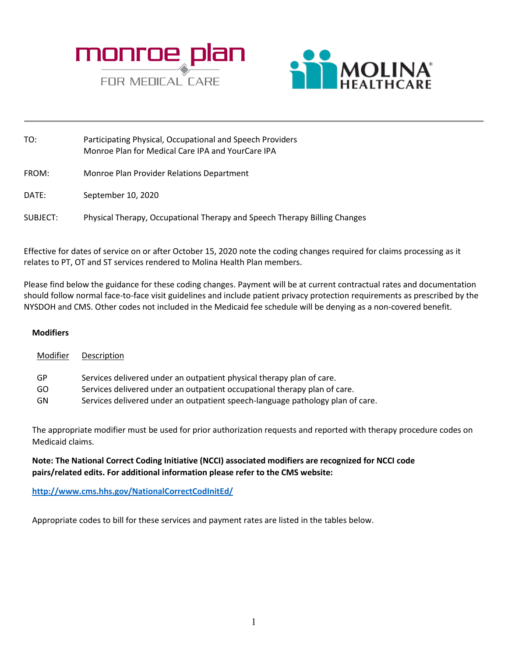



| TO:      | Participating Physical, Occupational and Speech Providers<br>Monroe Plan for Medical Care IPA and YourCare IPA |
|----------|----------------------------------------------------------------------------------------------------------------|
| FROM:    | Monroe Plan Provider Relations Department                                                                      |
| DATE:    | September 10, 2020                                                                                             |
| SUBJECT: | Physical Therapy, Occupational Therapy and Speech Therapy Billing Changes                                      |

Effective for dates of service on or after October 15, 2020 note the coding changes required for claims processing as it relates to PT, OT and ST services rendered to Molina Health Plan members.

Please find below the guidance for these coding changes. Payment will be at current contractual rates and documentation should follow normal face-to-face visit guidelines and include patient privacy protection requirements as prescribed by the NYSDOH and CMS. Other codes not included in the Medicaid fee schedule will be denying as a non-covered benefit.

## **Modifiers**

| Modifier  | Description                                                                    |
|-----------|--------------------------------------------------------------------------------|
| GP        | Services delivered under an outpatient physical therapy plan of care.          |
| GO.       | Services delivered under an outpatient occupational therapy plan of care.      |
| <b>GN</b> | Services delivered under an outpatient speech-language pathology plan of care. |

The appropriate modifier must be used for prior authorization requests and reported with therapy procedure codes on Medicaid claims.

## **Note: The National Correct Coding Initiative (NCCI) associated modifiers are recognized for NCCI code pairs/related edits. For additional information please refer to the CMS website:**

**<http://www.cms.hhs.gov/NationalCorrectCodInitEd/>**

Appropriate codes to bill for these services and payment rates are listed in the tables below.